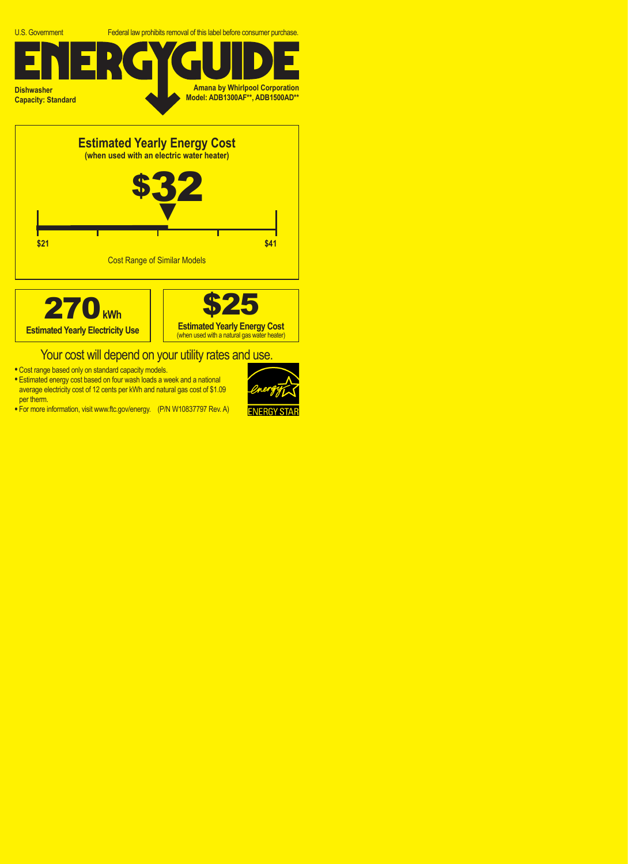





## Your cost will depend on your utility rates and use.

- **•** Cost range based only on standard capacity models.
- **•** Estimated energy cost based on four wash loads a week and a national average electricity cost of 12 cents per kWh and natural gas cost of \$1.09 per therm.
- **•** For more information, visit www.ftc.gov/energy. (P/N W10837797 Rev. A)